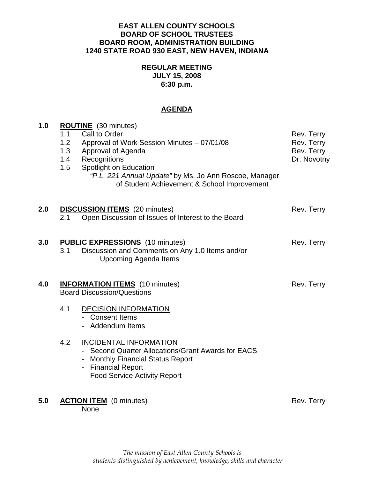### **EAST ALLEN COUNTY SCHOOLS BOARD OF SCHOOL TRUSTEES BOARD ROOM, ADMINISTRATION BUILDING 1240 STATE ROAD 930 EAST, NEW HAVEN, INDIANA**

## **REGULAR MEETING JULY 15, 2008 6:30 p.m.**

# **AGENDA**

| 1.0 | <b>ROUTINE</b> (30 minutes)<br>Call to Order<br>1.1<br>Rev. Terry |                                                        |             |
|-----|-------------------------------------------------------------------|--------------------------------------------------------|-------------|
|     | 1.2                                                               | Approval of Work Session Minutes - 07/01/08            | Rev. Terry  |
|     | 1.3                                                               | Approval of Agenda                                     | Rev. Terry  |
|     | 1.4                                                               | Recognitions                                           | Dr. Novotny |
|     | 1.5                                                               | Spotlight on Education                                 |             |
|     |                                                                   | "P.L. 221 Annual Update" by Ms. Jo Ann Roscoe, Manager |             |
|     |                                                                   | of Student Achievement & School Improvement            |             |
|     |                                                                   |                                                        |             |
| 2.0 |                                                                   | <b>DISCUSSION ITEMS</b> (20 minutes)                   | Rev. Terry  |
|     | 2.1                                                               | Open Discussion of Issues of Interest to the Board     |             |
|     |                                                                   |                                                        |             |
| 3.0 | <b>PUBLIC EXPRESSIONS</b> (10 minutes)                            |                                                        | Rev. Terry  |
|     | 3.1                                                               | Discussion and Comments on Any 1.0 Items and/or        |             |
|     |                                                                   | <b>Upcoming Agenda Items</b>                           |             |
|     |                                                                   |                                                        |             |
| 4.0 |                                                                   | <b>INFORMATION ITEMS</b> (10 minutes)                  | Rev. Terry  |
|     | <b>Board Discussion/Questions</b>                                 |                                                        |             |
|     |                                                                   |                                                        |             |
|     | 4.1                                                               | <b>DECISION INFORMATION</b>                            |             |
|     |                                                                   | - Consent Items                                        |             |
|     |                                                                   | - Addendum Items                                       |             |
|     | 4.2                                                               | <b>INCIDENTAL INFORMATION</b>                          |             |
|     |                                                                   | - Second Quarter Allocations/Grant Awards for EACS     |             |
|     |                                                                   |                                                        |             |
|     |                                                                   | - Financial Report                                     |             |
|     |                                                                   | - Food Service Activity Report                         |             |
|     |                                                                   |                                                        |             |
|     | <b>ACTION ITEM</b> (0 minutes)                                    |                                                        |             |
|     |                                                                   | None                                                   |             |
|     |                                                                   | - Monthly Financial Status Report                      |             |
| 5.0 |                                                                   |                                                        | Rev. Terry  |
|     |                                                                   |                                                        |             |